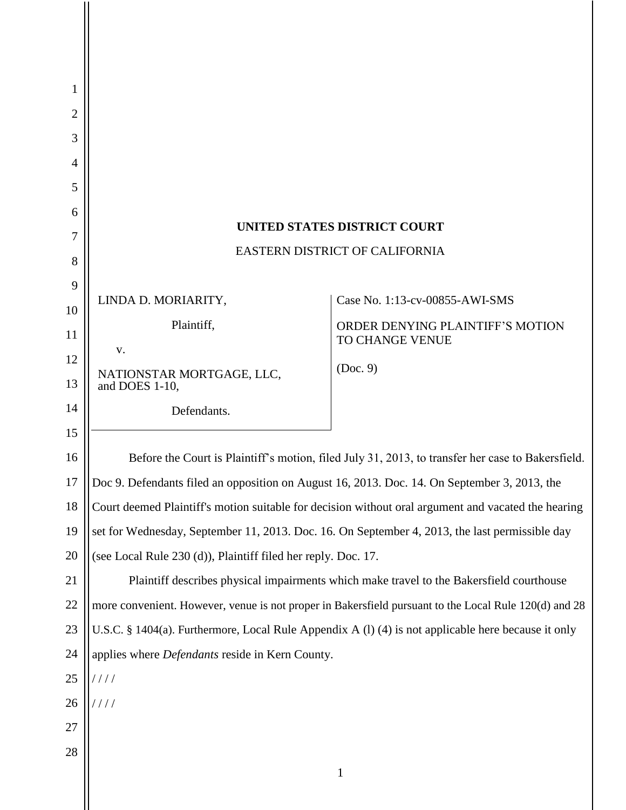| 1              |                                                                                                       |                                                     |
|----------------|-------------------------------------------------------------------------------------------------------|-----------------------------------------------------|
| 2              |                                                                                                       |                                                     |
| 3              |                                                                                                       |                                                     |
| $\overline{4}$ |                                                                                                       |                                                     |
| 5              |                                                                                                       |                                                     |
| 6              |                                                                                                       |                                                     |
| 7              | <b>UNITED STATES DISTRICT COURT</b>                                                                   |                                                     |
| 8              | EASTERN DISTRICT OF CALIFORNIA                                                                        |                                                     |
| 9              |                                                                                                       |                                                     |
| 10             | LINDA D. MORIARITY,                                                                                   | Case No. 1:13-cv-00855-AWI-SMS                      |
| 11             | Plaintiff,                                                                                            | ORDER DENYING PLAINTIFF'S MOTION<br>TO CHANGE VENUE |
| 12             | V.                                                                                                    |                                                     |
| 13             | NATIONSTAR MORTGAGE, LLC,<br>and DOES 1-10,                                                           | (Doc. 9)                                            |
| 14             | Defendants.                                                                                           |                                                     |
| 15             |                                                                                                       |                                                     |
| 16             | Before the Court is Plaintiff's motion, filed July 31, 2013, to transfer her case to Bakersfield.     |                                                     |
| 17             | Doc 9. Defendants filed an opposition on August 16, 2013. Doc. 14. On September 3, 2013, the          |                                                     |
| 18             | Court deemed Plaintiff's motion suitable for decision without oral argument and vacated the hearing   |                                                     |
| 19             | set for Wednesday, September 11, 2013. Doc. 16. On September 4, 2013, the last permissible day        |                                                     |
| 20             | (see Local Rule 230 (d)), Plaintiff filed her reply. Doc. 17.                                         |                                                     |
| 21             | Plaintiff describes physical impairments which make travel to the Bakersfield courthouse              |                                                     |
| 22             | more convenient. However, venue is not proper in Bakersfield pursuant to the Local Rule 120(d) and 28 |                                                     |
| 23             | U.S.C. § 1404(a). Furthermore, Local Rule Appendix A (1) (4) is not applicable here because it only   |                                                     |
| 24             | applies where <i>Defendants</i> reside in Kern County.                                                |                                                     |
| 25             | 1111                                                                                                  |                                                     |
| 26             | 1111                                                                                                  |                                                     |
| 27             |                                                                                                       |                                                     |
| 28             |                                                                                                       |                                                     |
|                |                                                                                                       | $\mathbf{1}$                                        |
|                |                                                                                                       |                                                     |